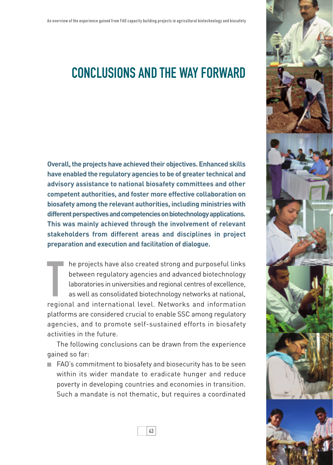

## Conclusions and the way forward

**Overall, the projects have achieved their objectives. Enhanced skills have enabled the regulatory agencies to be of greater technical and advisory assistance to national biosafety committees and other competent authorities, and foster more effective collaboration on biosafety among the relevant authorities, including ministries with different perspectives and competencies on biotechnology applications. This was mainly achieved through the involvement of relevant stakeholders from different areas and disciplines in project preparation and execution and facilitation of dialogue.** 

The projects have also created strong and purposeful links<br>between regulatory agencies and advanced biotechnology<br>laboratories in universities and regional centres of excellence,<br>as well as consolidated biotechnology netwo he projects have also created strong and purposeful links between regulatory agencies and advanced biotechnology laboratories in universities and regional centres of excellence, as well as consolidated biotechnology networks at national, platforms are considered crucial to enable SSC among regulatory agencies, and to promote self-sustained efforts in biosafety activities in the future.

The following conclusions can be drawn from the experience gained so far:

 FAO's commitment to biosafety and biosecurity has to be seen within its wider mandate to eradicate hunger and reduce poverty in developing countries and economies in transition. Such a mandate is not thematic, but requires a coordinated

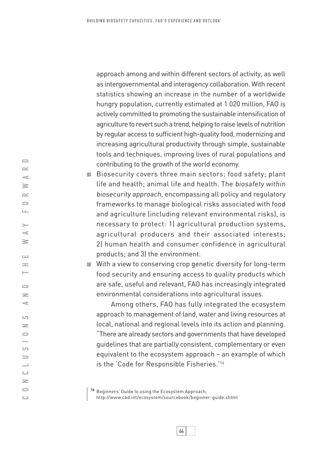approach among and within different sectors of activity, as well as intergovernmental and interagency collaboration. With recent statistics showing an increase in the number of a worldwide hungry population, currently estimated at 1 020 million, FAO is actively committed to promoting the sustainable intensification of agriculture to revert such a trend, helping to raise levels of nutrition by regular access to sufficient high-quality food, modernizing and increasing agricultural productivity through simple, sustainable tools and techniques, improving lives of rural populations and contributing to the growth of the world economy.

Biosecurity covers three main sectors: food safety; plant life and health; animal life and health. The biosafety within biosecurity approach, encompassing all policy and regulatory frameworks to manage biological risks associated with food and agriculture (including relevant environmental risks), is necessary to protect: 1) agricultural production systems, agricultural producers and their associated interests; 2) human health and consumer confidence in agricultural products; and 3) the environment.

With a view to conserving crop genetic diversity for long-term food security and ensuring access to quality products which are safe, useful and relevant, FAO has increasingly integrated environmental considerations into agricultural issues.

 Among others, FAO has fully integrated the ecosystem approach to management of land, water and living resources at local, national and regional levels into its action and planning. "There are already sectors and governments that have developed guidelines that are partially consistent, complementary or even equivalent to the ecosystem approach – an example of which is the 'Code for Responsible Fisheries.'16

**<sup>16</sup>** Beginners' Guide to using the Ecosystem Approach, http://www.cbd.int/ecosystem/sourcebook/beginner-guide.shtml

 $\qquad \qquad \Box$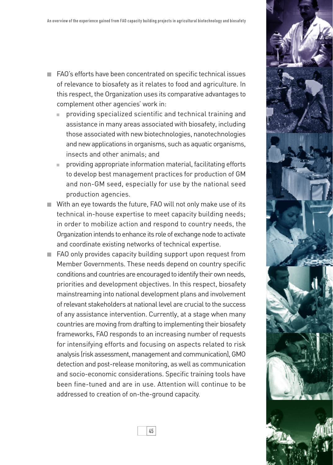- FAO's efforts have been concentrated on specific technical issues of relevance to biosafety as it relates to food and agriculture. In this respect, the Organization uses its comparative advantages to complement other agencies' work in:
	- providing specialized scientific and technical training and assistance in many areas associated with biosafety, including those associated with new biotechnologies, nanotechnologies and new applications in organisms, such as aquatic organisms, insects and other animals; and
	- providing appropriate information material, facilitating efforts to develop best management practices for production of GM and non-GM seed, especially for use by the national seed production agencies.
- With an eye towards the future, FAO will not only make use of its technical in-house expertise to meet capacity building needs; in order to mobilize action and respond to country needs, the Organization intends to enhance its role of exchange node to activate and coordinate existing networks of technical expertise.
- FAO only provides capacity building support upon request from Member Governments. These needs depend on country specific conditions and countries are encouraged to identify their own needs, priorities and development objectives. In this respect, biosafety mainstreaming into national development plans and involvement of relevant stakeholders at national level are crucial to the success of any assistance intervention. Currently, at a stage when many countries are moving from drafting to implementing their biosafety frameworks, FAO responds to an increasing number of requests for intensifying efforts and focusing on aspects related to risk analysis (risk assessment, management and communication), GMO detection and post-release monitoring, as well as communication and socio-economic considerations. Specific training tools have been fine-tuned and are in use. Attention will continue to be addressed to creation of on-the-ground capacity.

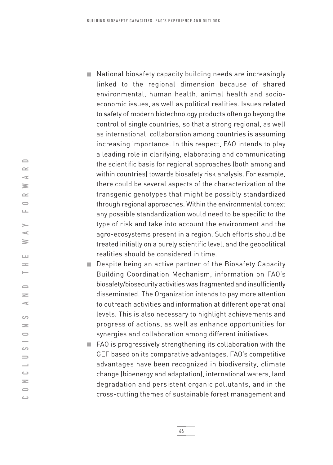- National biosafety capacity building needs are increasingly linked to the regional dimension because of shared environmental, human health, animal health and socioeconomic issues, as well as political realities. Issues related to safety of modern biotechnology products often go beyong the control of single countries, so that a strong regional, as well as international, collaboration among countries is assuming increasing importance. In this respect, FAO intends to play a leading role in clarifying, elaborating and communicating the scientific basis for regional approaches (both among and within countries) towards biosafety risk analysis. For example, there could be several aspects of the characterization of the transgenic genotypes that might be possibly standardized through regional approaches. Within the environmental context any possible standardization would need to be specific to the type of risk and take into account the environment and the agro-ecosystems present in a region. Such efforts should be treated initially on a purely scientific level, and the geopolitical realities should be considered in time.
- Despite being an active partner of the Biosafety Capacity Building Coordination Mechanism, information on FAO's biosafety/biosecurity activities was fragmented and insufficiently disseminated. The Organization intends to pay more attention to outreach activities and information at different operational levels. This is also necessary to highlight achievements and progress of actions, as well as enhance opportunities for synergies and collaboration among different initiatives.
- FAO is progressively strengthening its collaboration with the GEF based on its comparative advantages. FAO's competitive advantages have been recognized in biodiversity, climate change (bioenergy and adaptation), international waters, land degradation and persistent organic pollutants, and in the cross-cutting themes of sustainable forest management and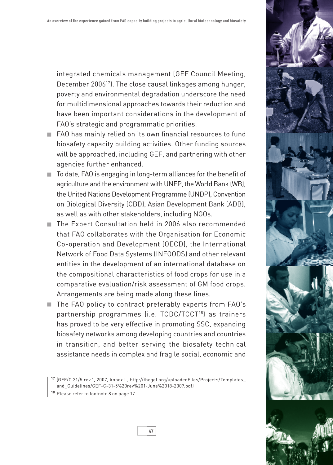integrated chemicals management (GEF Council Meeting, December 200617). The close causal linkages among hunger, poverty and environmental degradation underscore the need for multidimensional approaches towards their reduction and have been important considerations in the development of FAO's strategic and programmatic priorities.

- FAO has mainly relied on its own financial resources to fund biosafety capacity building activities. Other funding sources will be approached, including GEF, and partnering with other agencies further enhanced.
- $\blacksquare$  To date, FAO is engaging in long-term alliances for the benefit of agriculture and the environment with UNEP, the World Bank (WB), the United Nations Development Programme (UNDP), Convention on Biological Diversity (CBD), Asian Development Bank (ADB), as well as with other stakeholders, including NGOs.
- The Expert Consultation held in 2006 also recommended that FAO collaborates with the Organisation for Economic Co-operation and Development (OECD), the International Network of Food Data Systems (INFOODS) and other relevant entities in the development of an international database on the compositional characteristics of food crops for use in a comparative evaluation/risk assessment of GM food crops. Arrangements are being made along these lines.
- The FAO policy to contract preferably experts from FAO's partnership programmes (i.e. TCDC/TCCT18) as trainers has proved to be very effective in promoting SSC, expanding biosafety networks among developing countries and countries in transition, and better serving the biosafety technical assistance needs in complex and fragile social, economic and

**<sup>17</sup>** (GEF/C.31/5 rev.1, 2007, Annex L, http://thegef.org/uploadedFiles/Projects/Templates\_ and\_Guidelines/GEF-C-31-5%20rev%201-June%2018-2007.pdf)

**<sup>18</sup>** Please refer to footnote 8 on page 17

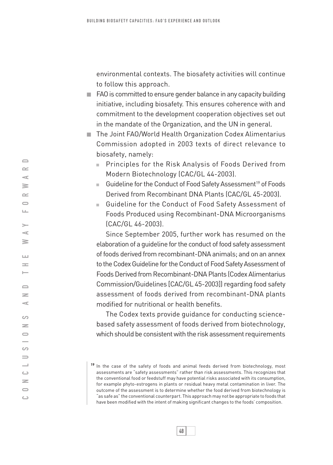environmental contexts. The biosafety activities will continue to follow this approach.

- $\blacksquare$  FAO is committed to ensure gender balance in any capacity building initiative, including biosafety. This ensures coherence with and commitment to the development cooperation objectives set out in the mandate of the Organization, and the UN in general.
- The Joint FAO/World Health Organization Codex Alimentarius Commission adopted in 2003 texts of direct relevance to biosafety, namely:
	- **Principles for the Risk Analysis of Foods Derived from** Modern Biotechnology (CAC/GL 44-2003).
	- Guideline for the Conduct of Food Safety Assessment<sup>19</sup> of Foods Derived from Recombinant DNA Plants (CAC/GL 45-2003).
	- Guideline for the Conduct of Food Safety Assessment of Foods Produced using Recombinant-DNA Microorganisms (CAC/GL 46-2003).

Since September 2005, further work has resumed on the elaboration of a guideline for the conduct of food safety assessment of foods derived from recombinant-DNA animals; and on an annex to the Codex Guideline for the Conduct of Food Safety Assessment of Foods Derived from Recombinant‑DNA Plants (Codex Alimentarius Commission/Guidelines [CAC/GL 45-2003]) regarding food safety assessment of foods derived from recombinant-DNA plants modified for nutritional or health benefits.

The Codex texts provide guidance for conducting sciencebased safety assessment of foods derived from biotechnology, which should be consistent with the risk assessment requirements

**<sup>19</sup>** In the case of the safety of foods and animal feeds derived from biotechnology, most assessments are "safety assessments" rather than risk assessments. This recognizes that the conventional food or feedstuff may have potential risks associated with its consumption, for example phyto-estrogens in plants or residual heavy metal contamination in liver. The outcome of the assessment is to determine whether the food derived from biotechnology is "as safe as" the conventional counterpart. This approach may not be appropriate to foods that have been modified with the intent of making significant changes to the foods' composition.